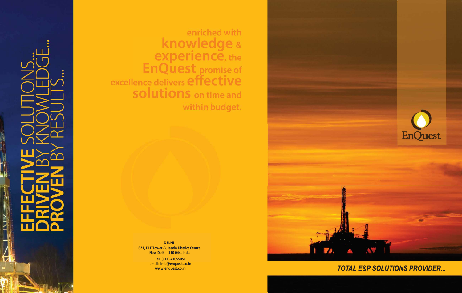H

enriched with<br> **knowledge** & experience, the<br>EnQuest promise of<br>excellence delivers effective **SOlutions** on time and within budget.



### **TOTAL E&P SOLUTIONS PROVIDER...**

**DELHI 621, DLF Tower-B, Jasola District Centre, New Delhi - 110 044, India** 

> **Tel: (011) 41055051 email: info@enquest.co.in www.enquest.co.in**